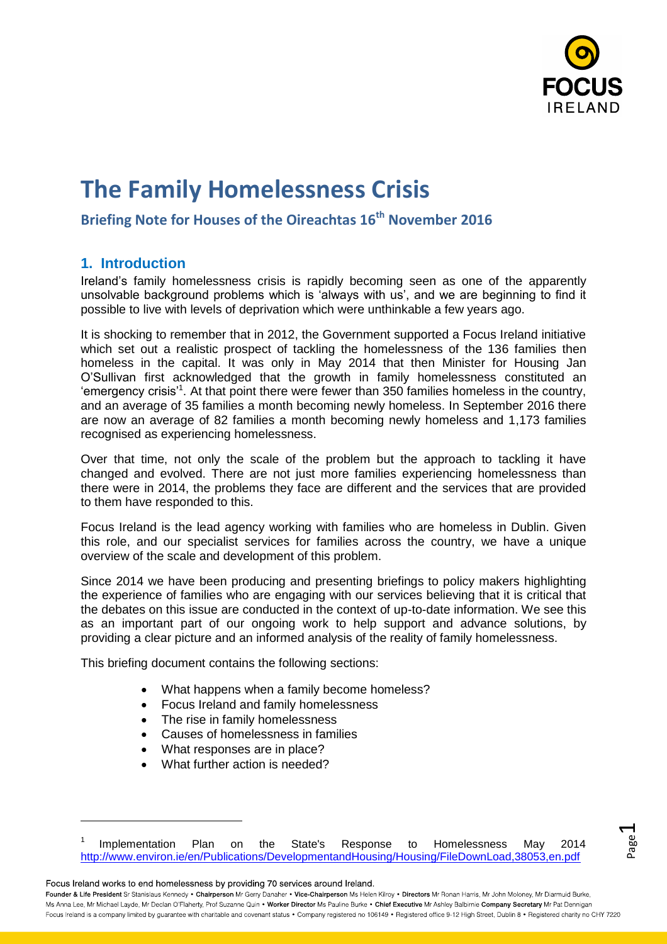

Page  $\overline{\phantom{0}}$ 

# **The Family Homelessness Crisis**

## **Briefing Note for Houses of the Oireachtas 16th November 2016**

## **1. Introduction**

Ireland's family homelessness crisis is rapidly becoming seen as one of the apparently unsolvable background problems which is 'always with us', and we are beginning to find it possible to live with levels of deprivation which were unthinkable a few years ago.

It is shocking to remember that in 2012, the Government supported a Focus Ireland initiative which set out a realistic prospect of tackling the homelessness of the 136 families then homeless in the capital. It was only in May 2014 that then Minister for Housing Jan O'Sullivan first acknowledged that the growth in family homelessness constituted an 'emergency crisis'<sup>1</sup>. At that point there were fewer than 350 families homeless in the country, and an average of 35 families a month becoming newly homeless. In September 2016 there are now an average of 82 families a month becoming newly homeless and 1,173 families recognised as experiencing homelessness.

Over that time, not only the scale of the problem but the approach to tackling it have changed and evolved. There are not just more families experiencing homelessness than there were in 2014, the problems they face are different and the services that are provided to them have responded to this.

Focus Ireland is the lead agency working with families who are homeless in Dublin. Given this role, and our specialist services for families across the country, we have a unique overview of the scale and development of this problem.

Since 2014 we have been producing and presenting briefings to policy makers highlighting the experience of families who are engaging with our services believing that it is critical that the debates on this issue are conducted in the context of up-to-date information. We see this as an important part of our ongoing work to help support and advance solutions, by providing a clear picture and an informed analysis of the reality of family homelessness.

This briefing document contains the following sections:

- What happens when a family become homeless?
- Focus Ireland and family homelessness
- The rise in family homelessness
- Causes of homelessness in families
- What responses are in place?
- What further action is needed?

Focus Ireland works to end homelessness by providing 70 services around Ireland.

 $\overline{a}$ 

<sup>1</sup> Implementation Plan on the State's Response to Homelessness May 2014 <http://www.environ.ie/en/Publications/DevelopmentandHousing/Housing/FileDownLoad,38053,en.pdf>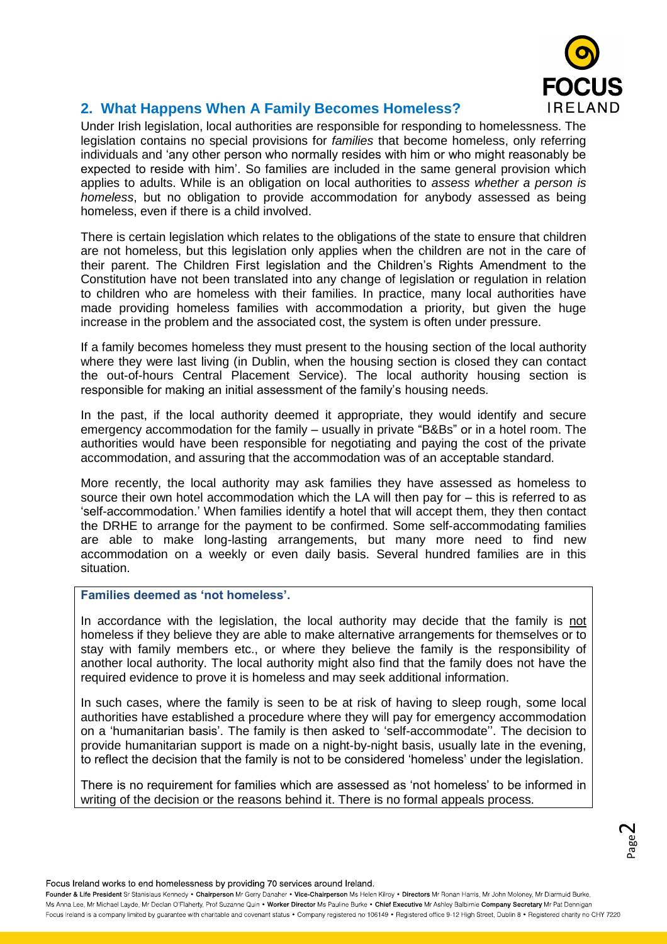

## **2. What Happens When A Family Becomes Homeless?**

Under Irish legislation, local authorities are responsible for responding to homelessness. The legislation contains no special provisions for *families* that become homeless, only referring individuals and 'any other person who normally resides with him or who might reasonably be expected to reside with him'. So families are included in the same general provision which applies to adults. While is an obligation on local authorities to *assess whether a person is homeless*, but no obligation to provide accommodation for anybody assessed as being homeless, even if there is a child involved.

There is certain legislation which relates to the obligations of the state to ensure that children are not homeless, but this legislation only applies when the children are not in the care of their parent. The Children First legislation and the Children's Rights Amendment to the Constitution have not been translated into any change of legislation or regulation in relation to children who are homeless with their families. In practice, many local authorities have made providing homeless families with accommodation a priority, but given the huge increase in the problem and the associated cost, the system is often under pressure.

If a family becomes homeless they must present to the housing section of the local authority where they were last living (in Dublin, when the housing section is closed they can contact the out-of-hours Central Placement Service). The local authority housing section is responsible for making an initial assessment of the family's housing needs.

In the past, if the local authority deemed it appropriate, they would identify and secure emergency accommodation for the family – usually in private "B&Bs" or in a hotel room. The authorities would have been responsible for negotiating and paying the cost of the private accommodation, and assuring that the accommodation was of an acceptable standard.

More recently, the local authority may ask families they have assessed as homeless to source their own hotel accommodation which the LA will then pay for – this is referred to as 'self-accommodation.' When families identify a hotel that will accept them, they then contact the DRHE to arrange for the payment to be confirmed. Some self-accommodating families are able to make long-lasting arrangements, but many more need to find new accommodation on a weekly or even daily basis. Several hundred families are in this situation.

#### **Families deemed as 'not homeless'.**

In accordance with the legislation, the local authority may decide that the family is not homeless if they believe they are able to make alternative arrangements for themselves or to stay with family members etc., or where they believe the family is the responsibility of another local authority. The local authority might also find that the family does not have the required evidence to prove it is homeless and may seek additional information.

In such cases, where the family is seen to be at risk of having to sleep rough, some local authorities have established a procedure where they will pay for emergency accommodation on a 'humanitarian basis'. The family is then asked to 'self-accommodate''. The decision to provide humanitarian support is made on a night-by-night basis, usually late in the evening, to reflect the decision that the family is not to be considered 'homeless' under the legislation.

There is no requirement for families which are assessed as 'not homeless' to be informed in writing of the decision or the reasons behind it. There is no formal appeals process.

Focus Ireland works to end homelessness by providing 70 services around Ireland.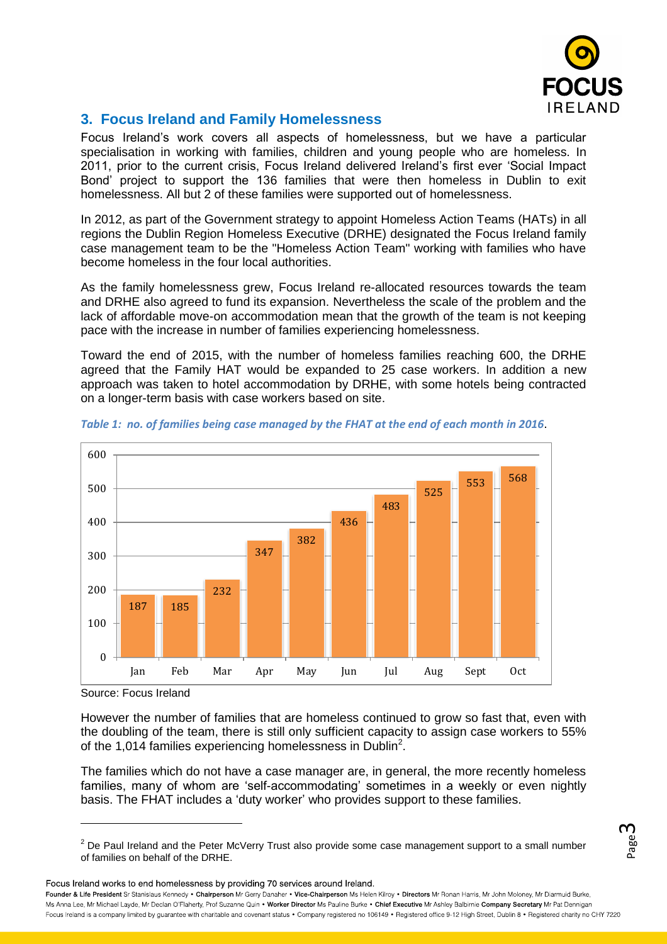

Page ന

## **3. Focus Ireland and Family Homelessness**

Focus Ireland's work covers all aspects of homelessness, but we have a particular specialisation in working with families, children and young people who are homeless. In 2011, prior to the current crisis, Focus Ireland delivered Ireland's first ever 'Social Impact Bond' project to support the 136 families that were then homeless in Dublin to exit homelessness. All but 2 of these families were supported out of homelessness.

In 2012, as part of the Government strategy to appoint Homeless Action Teams (HATs) in all regions the Dublin Region Homeless Executive (DRHE) designated the Focus Ireland family case management team to be the "Homeless Action Team" working with families who have become homeless in the four local authorities.

As the family homelessness grew, Focus Ireland re-allocated resources towards the team and DRHE also agreed to fund its expansion. Nevertheless the scale of the problem and the lack of affordable move-on accommodation mean that the growth of the team is not keeping pace with the increase in number of families experiencing homelessness.

Toward the end of 2015, with the number of homeless families reaching 600, the DRHE agreed that the Family HAT would be expanded to 25 case workers. In addition a new approach was taken to hotel accommodation by DRHE, with some hotels being contracted on a longer-term basis with case workers based on site.



*Table 1: no. of families being case managed by the FHAT at the end of each month in 2016*.

However the number of families that are homeless continued to grow so fast that, even with the doubling of the team, there is still only sufficient capacity to assign case workers to 55% of the 1,014 families experiencing homelessness in Dublin<sup>2</sup>.

The families which do not have a case manager are, in general, the more recently homeless families, many of whom are 'self-accommodating' sometimes in a weekly or even nightly basis. The FHAT includes a 'duty worker' who provides support to these families.

Focus Ireland works to end homelessness by providing 70 services around Ireland.

Source: Focus Ireland

 $2$  De Paul Ireland and the Peter McVerry Trust also provide some case management support to a small number of families on behalf of the DRHE.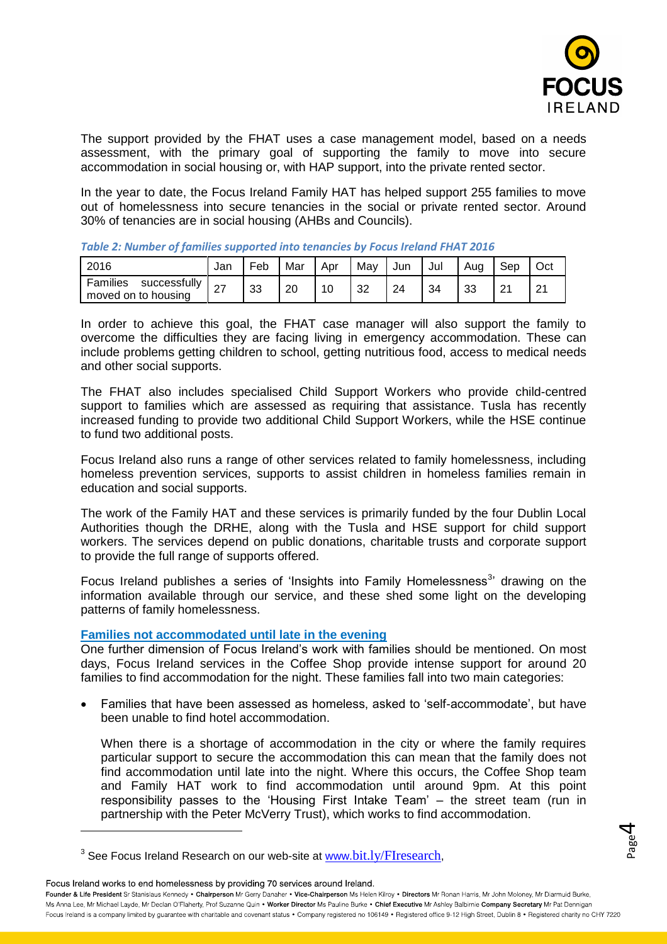

Page 4

The support provided by the FHAT uses a case management model, based on a needs assessment, with the primary goal of supporting the family to move into secure accommodation in social housing or, with HAP support, into the private rented sector.

In the year to date, the Focus Ireland Family HAT has helped support 255 families to move out of homelessness into secure tenancies in the social or private rented sector. Around 30% of tenancies are in social housing (AHBs and Councils).

| 2016                                            | Jar       | Feb | Mar | Apr | May | Jun | Jul | Aua | Sep    | Oct            |
|-------------------------------------------------|-----------|-----|-----|-----|-----|-----|-----|-----|--------|----------------|
| Families<br>successfully<br>moved on to housing | <u> 4</u> | 33  | -20 | 10  | 32  | 24  | 34  | 33  | $\sim$ | n,<br><u>.</u> |

*Table 2: Number of families supported into tenancies by Focus Ireland FHAT 2016*

In order to achieve this goal, the FHAT case manager will also support the family to overcome the difficulties they are facing living in emergency accommodation. These can include problems getting children to school, getting nutritious food, access to medical needs and other social supports.

The FHAT also includes specialised Child Support Workers who provide child-centred support to families which are assessed as requiring that assistance. Tusla has recently increased funding to provide two additional Child Support Workers, while the HSE continue to fund two additional posts.

Focus Ireland also runs a range of other services related to family homelessness, including homeless prevention services, supports to assist children in homeless families remain in education and social supports.

The work of the Family HAT and these services is primarily funded by the four Dublin Local Authorities though the DRHE, along with the Tusla and HSE support for child support workers. The services depend on public donations, charitable trusts and corporate support to provide the full range of supports offered.

Focus Ireland publishes a series of 'Insights into Family Homelessness<sup>3</sup>' drawing on the information available through our service, and these shed some light on the developing patterns of family homelessness.

### **Families not accommodated until late in the evening**

One further dimension of Focus Ireland's work with families should be mentioned. On most days, Focus Ireland services in the Coffee Shop provide intense support for around 20 families to find accommodation for the night. These families fall into two main categories:

 Families that have been assessed as homeless, asked to 'self-accommodate', but have been unable to find hotel accommodation.

When there is a shortage of accommodation in the city or where the family requires particular support to secure the accommodation this can mean that the family does not find accommodation until late into the night. Where this occurs, the Coffee Shop team and Family HAT work to find accommodation until around 9pm. At this point responsibility passes to the 'Housing First Intake Team' – the street team (run in partnership with the Peter McVerry Trust), which works to find accommodation.

Focus Ireland works to end homelessness by providing 70 services around Ireland.

 $^3$  See Focus Ireland Research on our web-site at  $\underline{\text{www.bit.}ly/FIresearch},$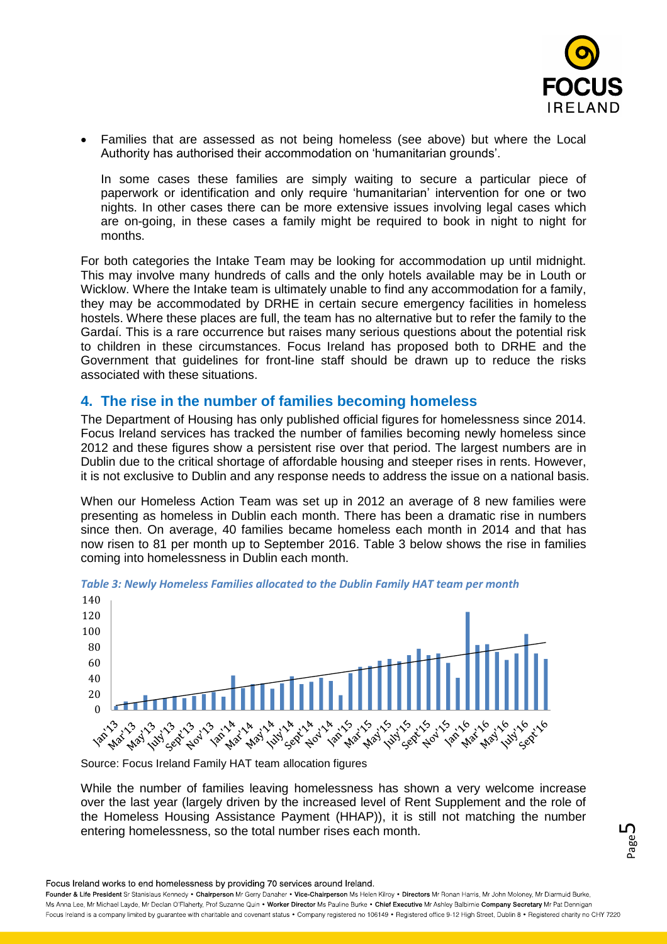

 Families that are assessed as not being homeless (see above) but where the Local Authority has authorised their accommodation on 'humanitarian grounds'.

In some cases these families are simply waiting to secure a particular piece of paperwork or identification and only require 'humanitarian' intervention for one or two nights. In other cases there can be more extensive issues involving legal cases which are on-going, in these cases a family might be required to book in night to night for months.

For both categories the Intake Team may be looking for accommodation up until midnight. This may involve many hundreds of calls and the only hotels available may be in Louth or Wicklow. Where the Intake team is ultimately unable to find any accommodation for a family, they may be accommodated by DRHE in certain secure emergency facilities in homeless hostels. Where these places are full, the team has no alternative but to refer the family to the Gardaí. This is a rare occurrence but raises many serious questions about the potential risk to children in these circumstances. Focus Ireland has proposed both to DRHE and the Government that guidelines for front-line staff should be drawn up to reduce the risks associated with these situations.

## **4. The rise in the number of families becoming homeless**

The Department of Housing has only published official figures for homelessness since 2014. Focus Ireland services has tracked the number of families becoming newly homeless since 2012 and these figures show a persistent rise over that period. The largest numbers are in Dublin due to the critical shortage of affordable housing and steeper rises in rents. However, it is not exclusive to Dublin and any response needs to address the issue on a national basis.

When our Homeless Action Team was set up in 2012 an average of 8 new families were presenting as homeless in Dublin each month. There has been a dramatic rise in numbers since then. On average, 40 families became homeless each month in 2014 and that has now risen to 81 per month up to September 2016. Table 3 below shows the rise in families coming into homelessness in Dublin each month.





Source: Focus Ireland Family HAT team allocation figures

While the number of families leaving homelessness has shown a very welcome increase over the last year (largely driven by the increased level of Rent Supplement and the role of the Homeless Housing Assistance Payment (HHAP)), it is still not matching the number entering homelessness, so the total number rises each month.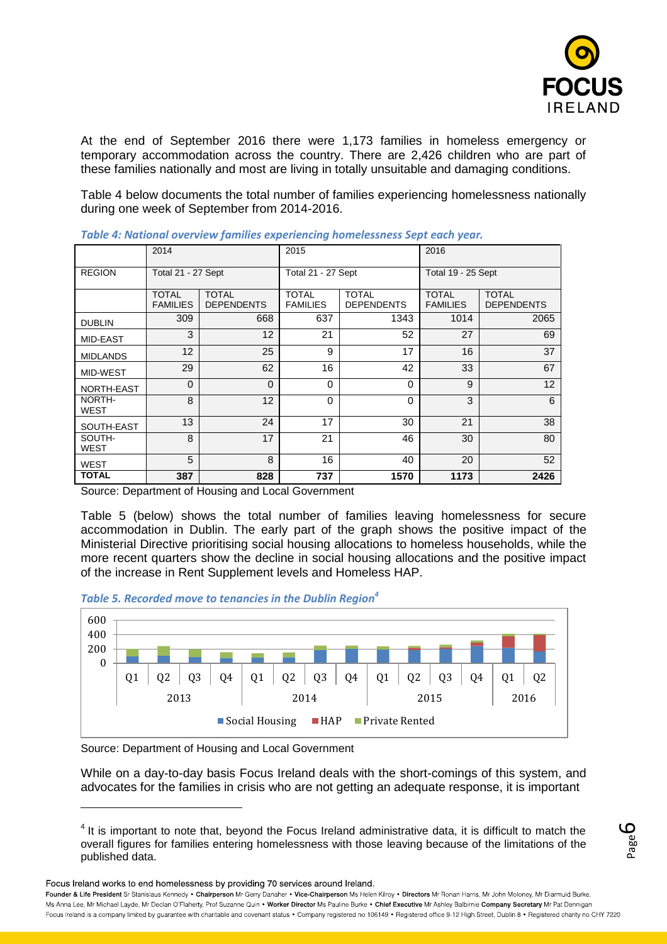

At the end of September 2016 there were 1,173 families in homeless emergency or temporary accommodation across the country. There are 2,426 children who are part of these families nationally and most are living in totally unsuitable and damaging conditions.

Table 4 below documents the total number of families experiencing homelessness nationally during one week of September from 2014-2016.

|                       | 2014                            |                                   | 2015                            |                                   | 2016                            |                                   |  |
|-----------------------|---------------------------------|-----------------------------------|---------------------------------|-----------------------------------|---------------------------------|-----------------------------------|--|
| <b>REGION</b>         | Total 21 - 27 Sept              |                                   | Total 21 - 27 Sept              |                                   | Total 19 - 25 Sept              |                                   |  |
|                       | <b>TOTAL</b><br><b>FAMILIES</b> | <b>TOTAL</b><br><b>DEPENDENTS</b> | <b>TOTAL</b><br><b>FAMILIES</b> | <b>TOTAL</b><br><b>DEPENDENTS</b> | <b>TOTAL</b><br><b>FAMILIES</b> | <b>TOTAL</b><br><b>DEPENDENTS</b> |  |
| <b>DUBLIN</b>         | 309                             | 668                               | 637                             | 1343                              | 1014                            | 2065                              |  |
| <b>MID-EAST</b>       | 3                               | 12                                | 21                              | 52                                | 27                              | 69                                |  |
| <b>MIDLANDS</b>       | 12                              | 25                                | 9                               | 17                                | 16                              | 37                                |  |
| MID-WEST              | 29                              | 62                                | 16                              | 42                                | 33                              | 67                                |  |
| NORTH-EAST            | $\Omega$                        | $\Omega$                          | $\Omega$                        | 0                                 | 9                               | 12                                |  |
| NORTH-<br>WEST        | 8                               | 12                                | $\Omega$                        | 0                                 | 3                               | 6                                 |  |
| SOUTH-EAST            | 13                              | 24                                | 17                              | 30                                | 21                              | 38                                |  |
| SOUTH-<br><b>WEST</b> | 8                               | 17                                | 21                              | 46                                | 30                              | 80                                |  |
| <b>WEST</b>           | 5                               | 8                                 | 16                              | 40                                | 20                              | 52                                |  |
| <b>TOTAL</b>          | 387                             | 828                               | 737                             | 1570                              | 1173                            | 2426                              |  |

*Table 4: National overview families experiencing homelessness Sept each year.*

Source: Department of Housing and Local Government

Table 5 (below) shows the total number of families leaving homelessness for secure accommodation in Dublin. The early part of the graph shows the positive impact of the Ministerial Directive prioritising social housing allocations to homeless households, while the more recent quarters show the decline in social housing allocations and the positive impact of the increase in Rent Supplement levels and Homeless HAP.





Source: Department of Housing and Local Government

While on a day-to-day basis Focus Ireland deals with the short-comings of this system, and advocates for the families in crisis who are not getting an adequate response, it is important

Focus Ireland works to end homelessness by providing 70 services around Ireland.

 $4$  It is important to note that, beyond the Focus Ireland administrative data, it is difficult to match the overall figures for families entering homelessness with those leaving because of the limitations of the published data.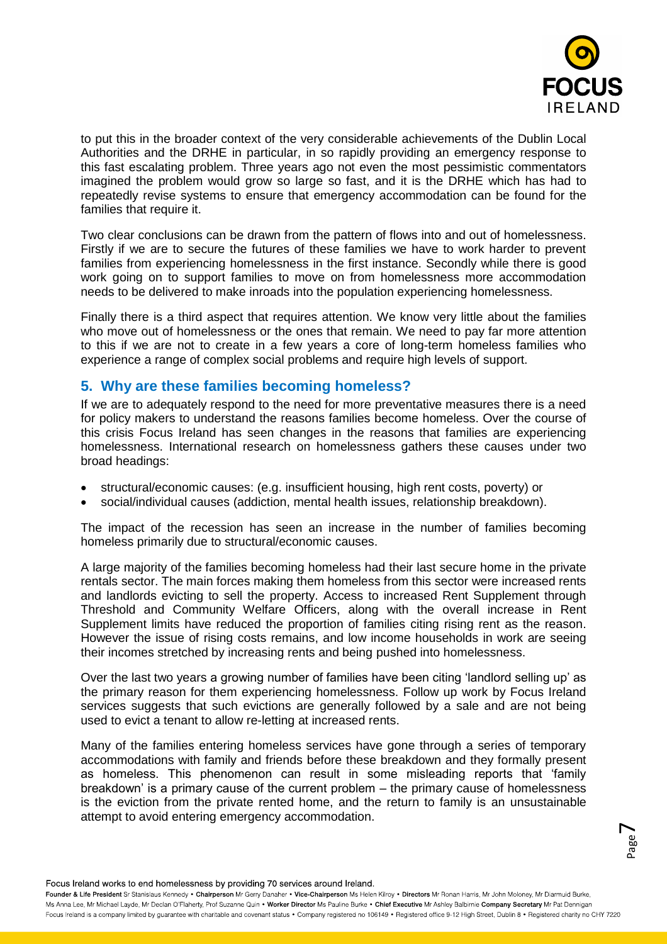

to put this in the broader context of the very considerable achievements of the Dublin Local Authorities and the DRHE in particular, in so rapidly providing an emergency response to this fast escalating problem. Three years ago not even the most pessimistic commentators imagined the problem would grow so large so fast, and it is the DRHE which has had to repeatedly revise systems to ensure that emergency accommodation can be found for the families that require it.

Two clear conclusions can be drawn from the pattern of flows into and out of homelessness. Firstly if we are to secure the futures of these families we have to work harder to prevent families from experiencing homelessness in the first instance. Secondly while there is good work going on to support families to move on from homelessness more accommodation needs to be delivered to make inroads into the population experiencing homelessness.

Finally there is a third aspect that requires attention. We know very little about the families who move out of homelessness or the ones that remain. We need to pay far more attention to this if we are not to create in a few years a core of long-term homeless families who experience a range of complex social problems and require high levels of support.

## **5. Why are these families becoming homeless?**

If we are to adequately respond to the need for more preventative measures there is a need for policy makers to understand the reasons families become homeless. Over the course of this crisis Focus Ireland has seen changes in the reasons that families are experiencing homelessness. International research on homelessness gathers these causes under two broad headings:

- structural/economic causes: (e.g. insufficient housing, high rent costs, poverty) or
- social/individual causes (addiction, mental health issues, relationship breakdown).

The impact of the recession has seen an increase in the number of families becoming homeless primarily due to structural/economic causes.

A large majority of the families becoming homeless had their last secure home in the private rentals sector. The main forces making them homeless from this sector were increased rents and landlords evicting to sell the property. Access to increased Rent Supplement through Threshold and Community Welfare Officers, along with the overall increase in Rent Supplement limits have reduced the proportion of families citing rising rent as the reason. However the issue of rising costs remains, and low income households in work are seeing their incomes stretched by increasing rents and being pushed into homelessness.

Over the last two years a growing number of families have been citing 'landlord selling up' as the primary reason for them experiencing homelessness. Follow up work by Focus Ireland services suggests that such evictions are generally followed by a sale and are not being used to evict a tenant to allow re-letting at increased rents.

Many of the families entering homeless services have gone through a series of temporary accommodations with family and friends before these breakdown and they formally present as homeless. This phenomenon can result in some misleading reports that 'family breakdown' is a primary cause of the current problem – the primary cause of homelessness is the eviction from the private rented home, and the return to family is an unsustainable attempt to avoid entering emergency accommodation.

Focus Ireland works to end homelessness by providing 70 services around Ireland.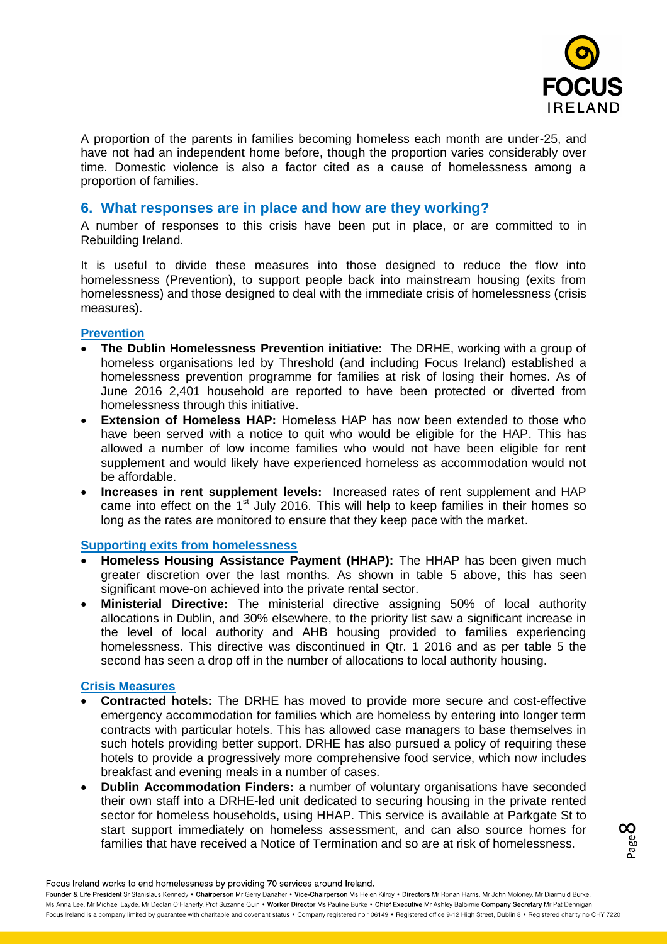

A proportion of the parents in families becoming homeless each month are under-25, and have not had an independent home before, though the proportion varies considerably over time. Domestic violence is also a factor cited as a cause of homelessness among a proportion of families.

## **6. What responses are in place and how are they working?**

A number of responses to this crisis have been put in place, or are committed to in Rebuilding Ireland.

It is useful to divide these measures into those designed to reduce the flow into homelessness (Prevention), to support people back into mainstream housing (exits from homelessness) and those designed to deal with the immediate crisis of homelessness (crisis measures).

#### **Prevention**

- **The Dublin Homelessness Prevention initiative:** The DRHE, working with a group of homeless organisations led by Threshold (and including Focus Ireland) established a homelessness prevention programme for families at risk of losing their homes. As of June 2016 2,401 household are reported to have been protected or diverted from homelessness through this initiative.
- **Extension of Homeless HAP:** Homeless HAP has now been extended to those who have been served with a notice to quit who would be eligible for the HAP. This has allowed a number of low income families who would not have been eligible for rent supplement and would likely have experienced homeless as accommodation would not be affordable.
- **Increases in rent supplement levels:** Increased rates of rent supplement and HAP came into effect on the  $1<sup>st</sup>$  July 2016. This will help to keep families in their homes so long as the rates are monitored to ensure that they keep pace with the market.

### **Supporting exits from homelessness**

- **Homeless Housing Assistance Payment (HHAP):** The HHAP has been given much greater discretion over the last months. As shown in table 5 above, this has seen significant move-on achieved into the private rental sector.
- **Ministerial Directive:** The ministerial directive assigning 50% of local authority allocations in Dublin, and 30% elsewhere, to the priority list saw a significant increase in the level of local authority and AHB housing provided to families experiencing homelessness. This directive was discontinued in Qtr. 1 2016 and as per table 5 the second has seen a drop off in the number of allocations to local authority housing.

### **Crisis Measures**

- **Contracted hotels:** The DRHE has moved to provide more secure and cost-effective emergency accommodation for families which are homeless by entering into longer term contracts with particular hotels. This has allowed case managers to base themselves in such hotels providing better support. DRHE has also pursued a policy of requiring these hotels to provide a progressively more comprehensive food service, which now includes breakfast and evening meals in a number of cases.
- **Dublin Accommodation Finders:** a number of voluntary organisations have seconded their own staff into a DRHE-led unit dedicated to securing housing in the private rented sector for homeless households, using HHAP. This service is available at Parkgate St to start support immediately on homeless assessment, and can also source homes for families that have received a Notice of Termination and so are at risk of homelessness.

Focus Ireland works to end homelessness by providing 70 services around Ireland.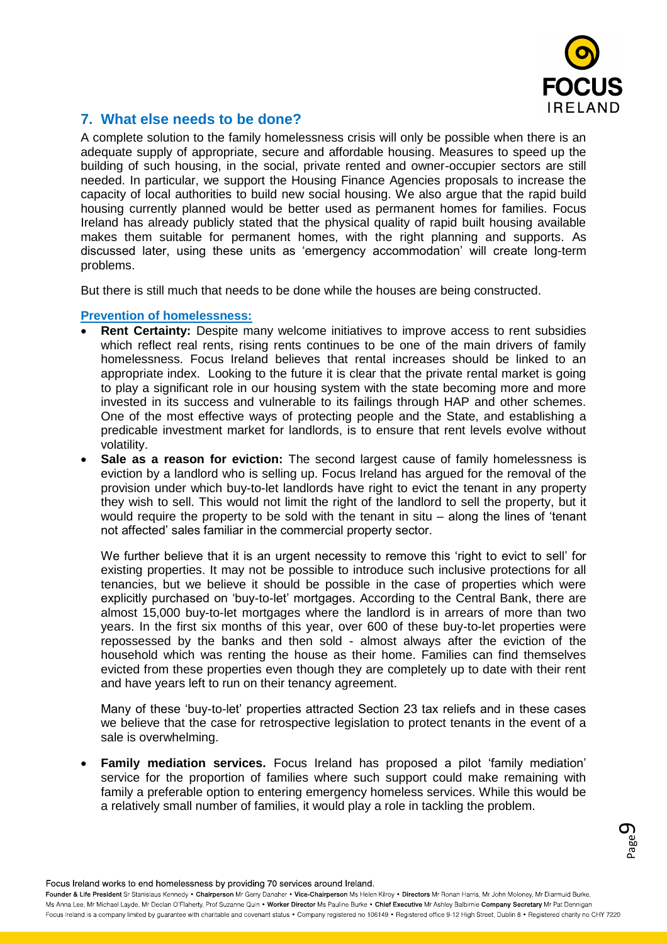

## **7. What else needs to be done?**

A complete solution to the family homelessness crisis will only be possible when there is an adequate supply of appropriate, secure and affordable housing. Measures to speed up the building of such housing, in the social, private rented and owner-occupier sectors are still needed. In particular, we support the Housing Finance Agencies proposals to increase the capacity of local authorities to build new social housing. We also argue that the rapid build housing currently planned would be better used as permanent homes for families. Focus Ireland has already publicly stated that the physical quality of rapid built housing available makes them suitable for permanent homes, with the right planning and supports. As discussed later, using these units as 'emergency accommodation' will create long-term problems.

But there is still much that needs to be done while the houses are being constructed.

### **Prevention of homelessness:**

- **Rent Certainty:** Despite many welcome initiatives to improve access to rent subsidies which reflect real rents, rising rents continues to be one of the main drivers of family homelessness. Focus Ireland believes that rental increases should be linked to an appropriate index. Looking to the future it is clear that the private rental market is going to play a significant role in our housing system with the state becoming more and more invested in its success and vulnerable to its failings through HAP and other schemes. One of the most effective ways of protecting people and the State, and establishing a predicable investment market for landlords, is to ensure that rent levels evolve without volatility.
- **Sale as a reason for eviction:** The second largest cause of family homelessness is eviction by a landlord who is selling up. Focus Ireland has argued for the removal of the provision under which buy-to-let landlords have right to evict the tenant in any property they wish to sell. This would not limit the right of the landlord to sell the property, but it would require the property to be sold with the tenant in situ – along the lines of 'tenant not affected' sales familiar in the commercial property sector.

We further believe that it is an urgent necessity to remove this 'right to evict to sell' for existing properties. It may not be possible to introduce such inclusive protections for all tenancies, but we believe it should be possible in the case of properties which were explicitly purchased on 'buy-to-let' mortgages. According to the Central Bank, there are almost 15,000 buy-to-let mortgages where the landlord is in arrears of more than two years. In the first six months of this year, over 600 of these buy-to-let properties were repossessed by the banks and then sold - almost always after the eviction of the household which was renting the house as their home. Families can find themselves evicted from these properties even though they are completely up to date with their rent and have years left to run on their tenancy agreement.

Many of these 'buy-to-let' properties attracted Section 23 tax reliefs and in these cases we believe that the case for retrospective legislation to protect tenants in the event of a sale is overwhelming.

 **Family mediation services.** Focus Ireland has proposed a pilot 'family mediation' service for the proportion of families where such support could make remaining with family a preferable option to entering emergency homeless services. While this would be a relatively small number of families, it would play a role in tackling the problem.

> Page თ

Focus Ireland works to end homelessness by providing 70 services around Ireland.